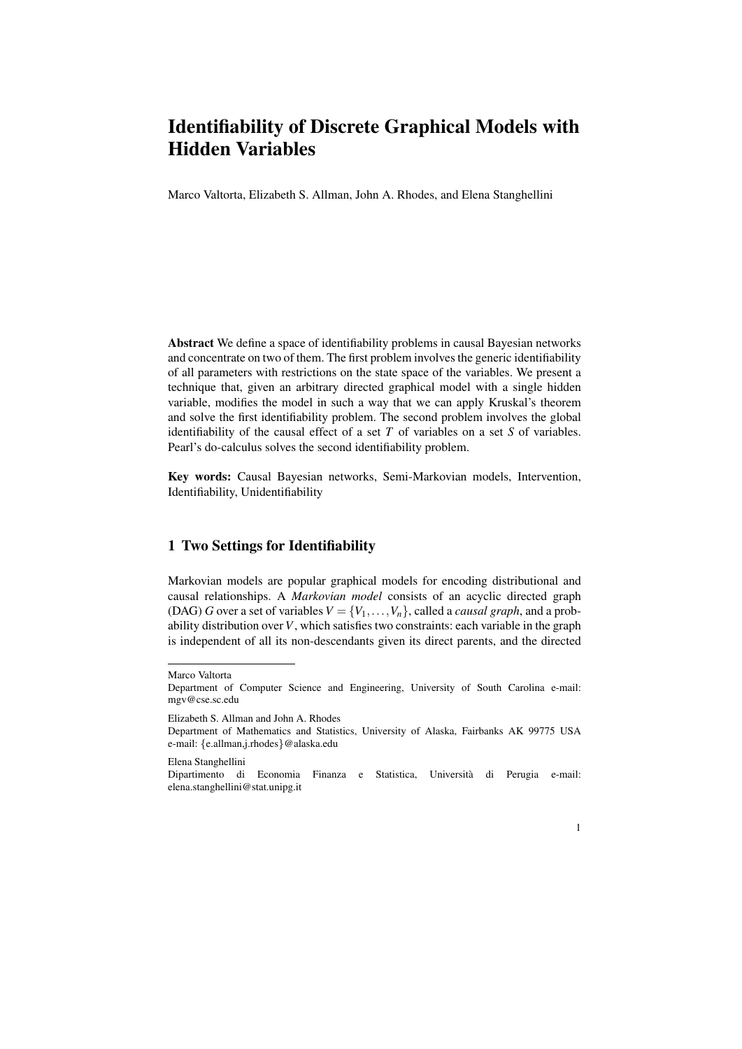# Identifiability of Discrete Graphical Models with Hidden Variables

Marco Valtorta, Elizabeth S. Allman, John A. Rhodes, and Elena Stanghellini

Abstract We define a space of identifiability problems in causal Bayesian networks and concentrate on two of them. The first problem involves the generic identifiability of all parameters with restrictions on the state space of the variables. We present a technique that, given an arbitrary directed graphical model with a single hidden variable, modifies the model in such a way that we can apply Kruskal's theorem and solve the first identifiability problem. The second problem involves the global identifiability of the causal effect of a set *T* of variables on a set *S* of variables. Pearl's do-calculus solves the second identifiability problem.

Key words: Causal Bayesian networks, Semi-Markovian models, Intervention, Identifiability, Unidentifiability

### 1 Two Settings for Identifiability

Markovian models are popular graphical models for encoding distributional and causal relationships. A *Markovian model* consists of an acyclic directed graph (DAG) *G* over a set of variables  $V = \{V_1, \ldots, V_n\}$ , called a *causal graph*, and a probability distribution over*V*, which satisfies two constraints: each variable in the graph is independent of all its non-descendants given its direct parents, and the directed

Elizabeth S. Allman and John A. Rhodes

Elena Stanghellini

Dipartimento di Economia Finanza e Statistica, Universita di Perugia e-mail: ` elena.stanghellini@stat.unipg.it



Marco Valtorta

Department of Computer Science and Engineering, University of South Carolina e-mail: mgv@cse.sc.edu

Department of Mathematics and Statistics, University of Alaska, Fairbanks AK 99775 USA e-mail: *{*e.allman,j.rhodes*}*@alaska.edu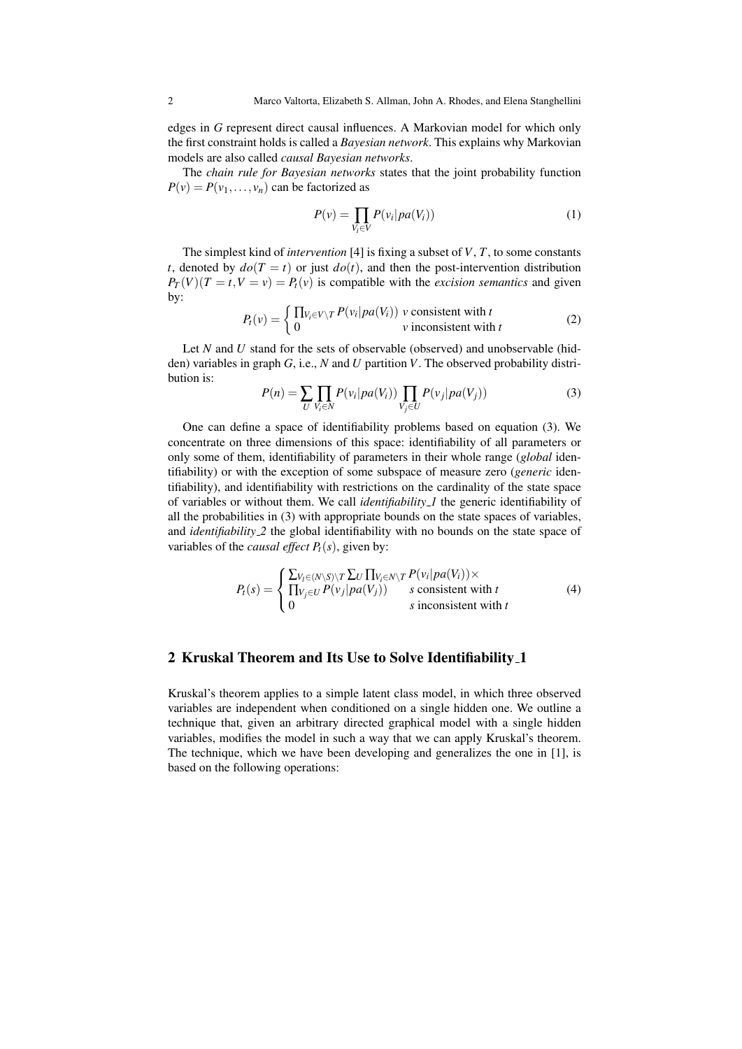edges in *G* represent direct causal influences. A Markovian model for which only the first constraint holds is called a *Bayesian network*. This explains why Markovian models are also called *causal Bayesian networks*.

The *chain rule for Bayesian networks* states that the joint probability function  $P(v) = P(v_1, \ldots, v_n)$  can be factorized as

$$
P(v) = \prod_{V_i \in V} P(v_i | pa(V_i))
$$
\n(1)

The simplest kind of *intervention* [4] is fixing a subset of *V*, *T*, to some constants *t*, denoted by  $do(T = t)$  or just  $do(t)$ , and then the post-intervention distribution  $P_T(V)(T = t, V = v) = P_t(v)$  is compatible with the *excision semantics* and given by:

$$
P_t(v) = \begin{cases} \prod_{V_i \in V \setminus T} P(v_i | pa(V_i)) & \text{consistent with } t \\ 0 & \text{v inconsistent with } t \end{cases} \tag{2}
$$

Let *N* and *U* stand for the sets of observable (observed) and unobservable (hidden) variables in graph *G*, i.e., *N* and *U* partition *V*. The observed probability distribution is:

$$
P(n) = \sum_{U} \prod_{V_i \in N} P(v_i | pa(V_i)) \prod_{V_j \in U} P(v_j | pa(V_j))
$$
\n(3)

One can define a space of identifiability problems based on equation (3). We concentrate on three dimensions of this space: identifiability of all parameters or only some of them, identifiability of parameters in their whole range (*global* identifiability) or with the exception of some subspace of measure zero (*generic* identifiability), and identifiability with restrictions on the cardinality of the state space of variables or without them. We call *identifiability 1* the generic identifiability of all the probabilities in (3) with appropriate bounds on the state spaces of variables, and *identifiability 2* the global identifiability with no bounds on the state space of variables of the *causal effect*  $P_t(s)$ , given by:

$$
P_t(s) = \begin{cases} \sum_{V_l \in (N \setminus S) \setminus T} \sum_U \prod_{V_i \in N \setminus T} P(v_i | pa(V_i)) \times \\ \prod_{V_j \in U} P(v_j | pa(V_j)) & s \text{ consistent with } t \\ 0 & s \text{ inconsistent with } t \end{cases}
$$
(4)

#### 2 Kruskal Theorem and Its Use to Solve Identifiability 1

Kruskal's theorem applies to a simple latent class model, in which three observed variables are independent when conditioned on a single hidden one. We outline a technique that, given an arbitrary directed graphical model with a single hidden variables, modifies the model in such a way that we can apply Kruskal's theorem. The technique, which we have been developing and generalizes the one in [1], is based on the following operations: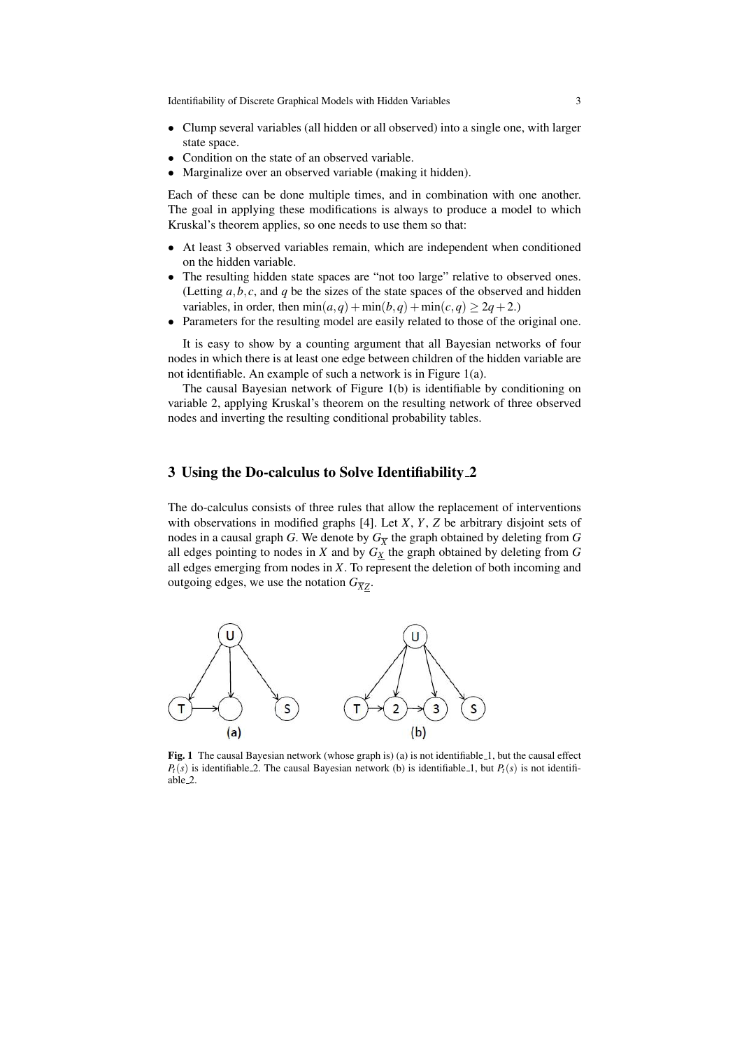Identifiability of Discrete Graphical Models with Hidden Variables 3

- *•* Clump several variables (all hidden or all observed) into a single one, with larger state space.
- *•* Condition on the state of an observed variable.
- *•* Marginalize over an observed variable (making it hidden).

Each of these can be done multiple times, and in combination with one another. The goal in applying these modifications is always to produce a model to which Kruskal's theorem applies, so one needs to use them so that:

- At least 3 observed variables remain, which are independent when conditioned on the hidden variable.
- The resulting hidden state spaces are "not too large" relative to observed ones. (Letting  $a, b, c$ , and  $q$  be the sizes of the state spaces of the observed and hidden variables, in order, then  $min(a,q) + min(b,q) + min(c,q) \geq 2q + 2.$
- Parameters for the resulting model are easily related to those of the original one.

It is easy to show by a counting argument that all Bayesian networks of four nodes in which there is at least one edge between children of the hidden variable are not identifiable. An example of such a network is in Figure 1(a).

The causal Bayesian network of Figure 1(b) is identifiable by conditioning on variable 2, applying Kruskal's theorem on the resulting network of three observed nodes and inverting the resulting conditional probability tables.

## 3 Using the Do-calculus to Solve Identifiability 2

The do-calculus consists of three rules that allow the replacement of interventions with observations in modified graphs [4]. Let *X*, *Y*, *Z* be arbitrary disjoint sets of nodes in a causal graph *G*. We denote by  $G_{\overline{X}}$  the graph obtained by deleting from  $G$ all edges pointing to nodes in  $X$  and by  $G_X$  the graph obtained by deleting from  $G$ all edges emerging from nodes in *X*. To represent the deletion of both incoming and outgoing edges, we use the notation  $G_{\overline{X}Z}$ .



Fig. 1 The causal Bayesian network (whose graph is) (a) is not identifiable 1, but the causal effect  $P_t(s)$  is identifiable 2. The causal Bayesian network (b) is identifiable 1, but  $P_t(s)$  is not identifiable 2.